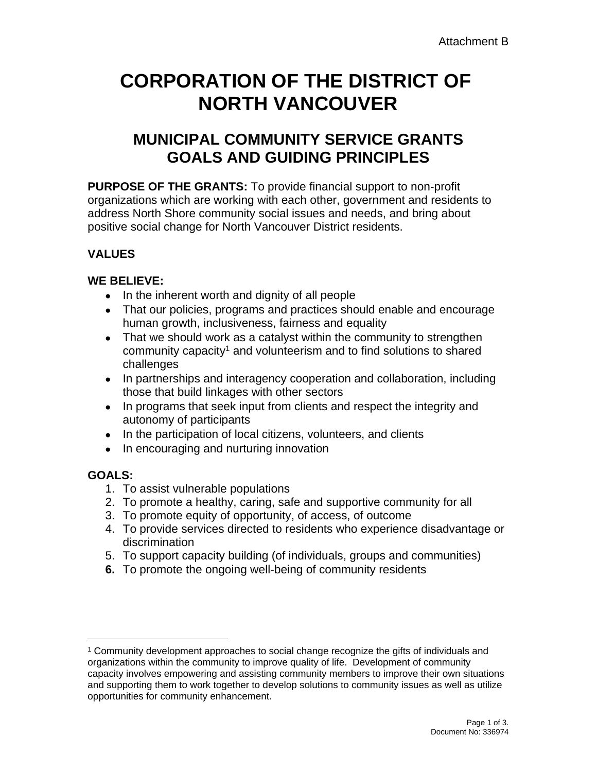# **CORPORATION OF THE DISTRICT OF NORTH VANCOUVER**

# **MUNICIPAL COMMUNITY SERVICE GRANTS GOALS AND GUIDING PRINCIPLES**

**PURPOSE OF THE GRANTS:** To provide financial support to non-profit organizations which are working with each other, government and residents to address North Shore community social issues and needs, and bring about positive social change for North Vancouver District residents.

#### **VALUES**

#### **WE BELIEVE:**

- In the inherent worth and dignity of all people
- That our policies, programs and practices should enable and encourage human growth, inclusiveness, fairness and equality
- That we should work as a catalyst within the community to strengthen community capacity<sup>1</sup> and volunteerism and to find solutions to shared challenges
- In partnerships and interagency cooperation and collaboration, including those that build linkages with other sectors
- In programs that seek input from clients and respect the integrity and autonomy of participants
- In the participation of local citizens, volunteers, and clients
- In encouraging and nurturing innovation

## **GOALS:**

- 1. To assist vulnerable populations
- 2. To promote a healthy, caring, safe and supportive community for all
- 3. To promote equity of opportunity, of access, of outcome
- 4. To provide services directed to residents who experience disadvantage or discrimination
- 5. To support capacity building (of individuals, groups and communities)
- **6.** To promote the ongoing well-being of community residents

<sup>1</sup> Community development approaches to social change recognize the gifts of individuals and organizations within the community to improve quality of life. Development of community capacity involves empowering and assisting community members to improve their own situations and supporting them to work together to develop solutions to community issues as well as utilize opportunities for community enhancement.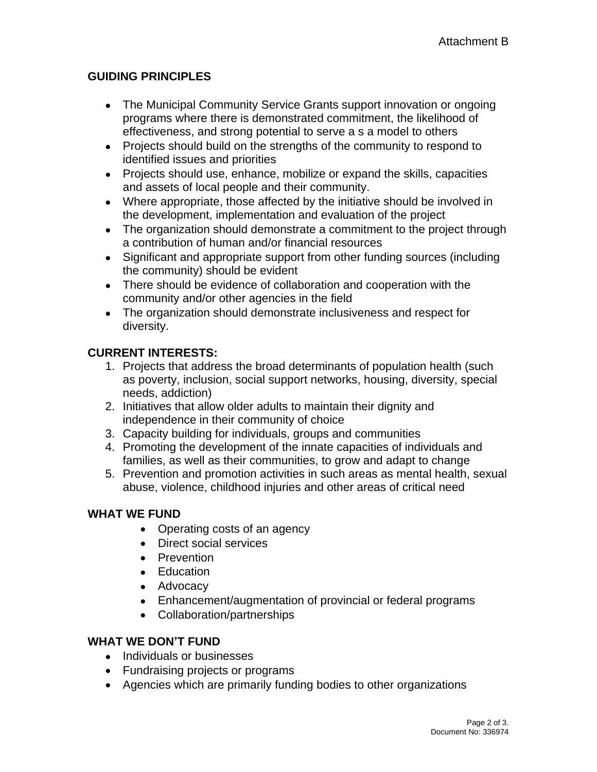#### **GUIDING PRINCIPLES**

- The Municipal Community Service Grants support innovation or ongoing programs where there is demonstrated commitment, the likelihood of effectiveness, and strong potential to serve a s a model to others
- Projects should build on the strengths of the community to respond to identified issues and priorities
- Projects should use, enhance, mobilize or expand the skills, capacities and assets of local people and their community.
- Where appropriate, those affected by the initiative should be involved in the development, implementation and evaluation of the project
- The organization should demonstrate a commitment to the project through a contribution of human and/or financial resources
- Significant and appropriate support from other funding sources (including the community) should be evident
- There should be evidence of collaboration and cooperation with the community and/or other agencies in the field
- The organization should demonstrate inclusiveness and respect for diversity.

#### **CURRENT INTERESTS:**

- 1. Projects that address the broad determinants of population health (such as poverty, inclusion, social support networks, housing, diversity, special needs, addiction)
- 2. Initiatives that allow older adults to maintain their dignity and independence in their community of choice
- 3. Capacity building for individuals, groups and communities
- 4. Promoting the development of the innate capacities of individuals and families, as well as their communities, to grow and adapt to change
- 5. Prevention and promotion activities in such areas as mental health, sexual abuse, violence, childhood injuries and other areas of critical need

## **WHAT WE FUND**

- Operating costs of an agency
- Direct social services
- Prevention
- Education
- Advocacy
- Enhancement/augmentation of provincial or federal programs
- Collaboration/partnerships

#### **WHAT WE DON'T FUND**

- Individuals or businesses
- Fundraising projects or programs
- Agencies which are primarily funding bodies to other organizations